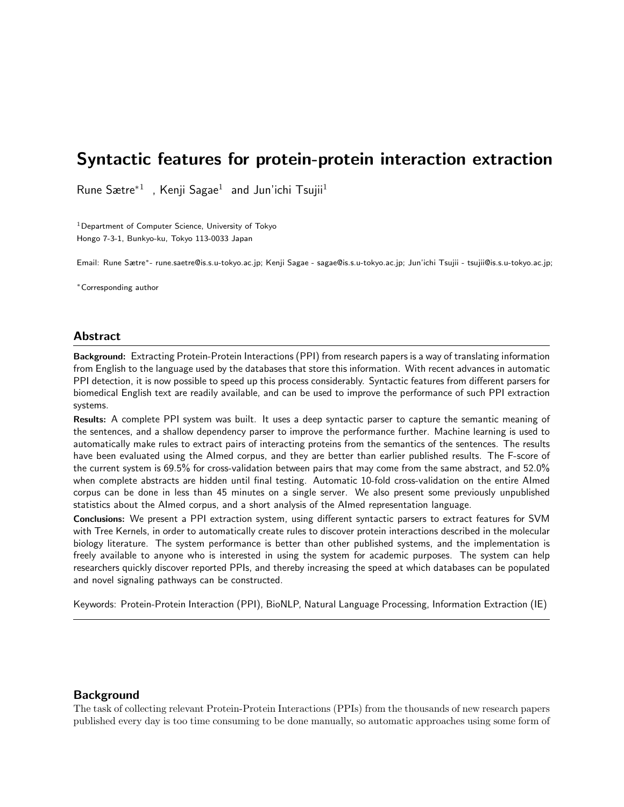## Syntactic features for protein-protein interaction extraction

Rune Sætre<sup>\*1</sup>, Kenji Sagae<sup>1</sup> and Jun'ichi Tsujii<sup>1</sup>

 $1$ Department of Computer Science, University of Tokyo Hongo 7-3-1, Bunkyo-ku, Tokyo 113-0033 Japan

Email: Rune Sætre∗- rune.saetre@is.s.u-tokyo.ac.jp; Kenji Sagae - sagae@is.s.u-tokyo.ac.jp; Jun'ichi Tsujii - tsujii@is.s.u-tokyo.ac.jp;

<sup>∗</sup>Corresponding author

#### Abstract

Background: Extracting Protein-Protein Interactions (PPI) from research papers is a way of translating information from English to the language used by the databases that store this information. With recent advances in automatic PPI detection, it is now possible to speed up this process considerably. Syntactic features from different parsers for biomedical English text are readily available, and can be used to improve the performance of such PPI extraction systems.

Results: A complete PPI system was built. It uses a deep syntactic parser to capture the semantic meaning of the sentences, and a shallow dependency parser to improve the performance further. Machine learning is used to automatically make rules to extract pairs of interacting proteins from the semantics of the sentences. The results have been evaluated using the AImed corpus, and they are better than earlier published results. The F-score of the current system is 69.5% for cross-validation between pairs that may come from the same abstract, and 52.0% when complete abstracts are hidden until final testing. Automatic 10-fold cross-validation on the entire AImed corpus can be done in less than 45 minutes on a single server. We also present some previously unpublished statistics about the AImed corpus, and a short analysis of the AImed representation language.

Conclusions: We present a PPI extraction system, using different syntactic parsers to extract features for SVM with Tree Kernels, in order to automatically create rules to discover protein interactions described in the molecular biology literature. The system performance is better than other published systems, and the implementation is freely available to anyone who is interested in using the system for academic purposes. The system can help researchers quickly discover reported PPIs, and thereby increasing the speed at which databases can be populated and novel signaling pathways can be constructed.

Keywords: Protein-Protein Interaction (PPI), BioNLP, Natural Language Processing, Information Extraction (IE)

#### Background

The task of collecting relevant Protein-Protein Interactions (PPIs) from the thousands of new research papers published every day is too time consuming to be done manually, so automatic approaches using some form of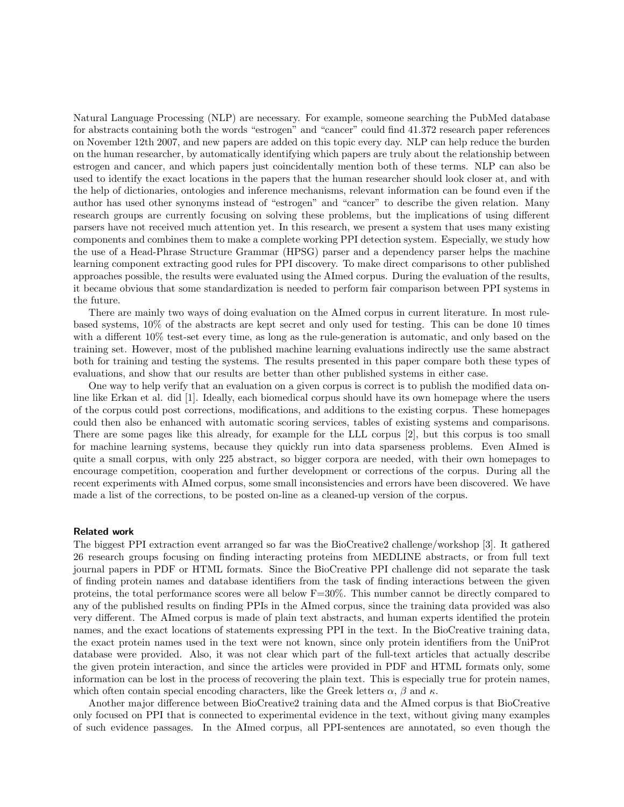Natural Language Processing (NLP) are necessary. For example, someone searching the PubMed database for abstracts containing both the words "estrogen" and "cancer" could find 41.372 research paper references on November 12th 2007, and new papers are added on this topic every day. NLP can help reduce the burden on the human researcher, by automatically identifying which papers are truly about the relationship between estrogen and cancer, and which papers just coincidentally mention both of these terms. NLP can also be used to identify the exact locations in the papers that the human researcher should look closer at, and with the help of dictionaries, ontologies and inference mechanisms, relevant information can be found even if the author has used other synonyms instead of "estrogen" and "cancer" to describe the given relation. Many research groups are currently focusing on solving these problems, but the implications of using different parsers have not received much attention yet. In this research, we present a system that uses many existing components and combines them to make a complete working PPI detection system. Especially, we study how the use of a Head-Phrase Structure Grammar (HPSG) parser and a dependency parser helps the machine learning component extracting good rules for PPI discovery. To make direct comparisons to other published approaches possible, the results were evaluated using the AImed corpus. During the evaluation of the results, it became obvious that some standardization is needed to perform fair comparison between PPI systems in the future.

There are mainly two ways of doing evaluation on the AImed corpus in current literature. In most rulebased systems, 10% of the abstracts are kept secret and only used for testing. This can be done 10 times with a different 10% test-set every time, as long as the rule-generation is automatic, and only based on the training set. However, most of the published machine learning evaluations indirectly use the same abstract both for training and testing the systems. The results presented in this paper compare both these types of evaluations, and show that our results are better than other published systems in either case.

One way to help verify that an evaluation on a given corpus is correct is to publish the modified data online like Erkan et al. did [1]. Ideally, each biomedical corpus should have its own homepage where the users of the corpus could post corrections, modifications, and additions to the existing corpus. These homepages could then also be enhanced with automatic scoring services, tables of existing systems and comparisons. There are some pages like this already, for example for the LLL corpus [2], but this corpus is too small for machine learning systems, because they quickly run into data sparseness problems. Even AImed is quite a small corpus, with only 225 abstract, so bigger corpora are needed, with their own homepages to encourage competition, cooperation and further development or corrections of the corpus. During all the recent experiments with AImed corpus, some small inconsistencies and errors have been discovered. We have made a list of the corrections, to be posted on-line as a cleaned-up version of the corpus.

#### Related work

The biggest PPI extraction event arranged so far was the BioCreative2 challenge/workshop [3]. It gathered 26 research groups focusing on finding interacting proteins from MEDLINE abstracts, or from full text journal papers in PDF or HTML formats. Since the BioCreative PPI challenge did not separate the task of finding protein names and database identifiers from the task of finding interactions between the given proteins, the total performance scores were all below F=30%. This number cannot be directly compared to any of the published results on finding PPIs in the AImed corpus, since the training data provided was also very different. The AImed corpus is made of plain text abstracts, and human experts identified the protein names, and the exact locations of statements expressing PPI in the text. In the BioCreative training data, the exact protein names used in the text were not known, since only protein identifiers from the UniProt database were provided. Also, it was not clear which part of the full-text articles that actually describe the given protein interaction, and since the articles were provided in PDF and HTML formats only, some information can be lost in the process of recovering the plain text. This is especially true for protein names, which often contain special encoding characters, like the Greek letters  $\alpha$ ,  $\beta$  and  $\kappa$ .

Another major difference between BioCreative2 training data and the AImed corpus is that BioCreative only focused on PPI that is connected to experimental evidence in the text, without giving many examples of such evidence passages. In the AImed corpus, all PPI-sentences are annotated, so even though the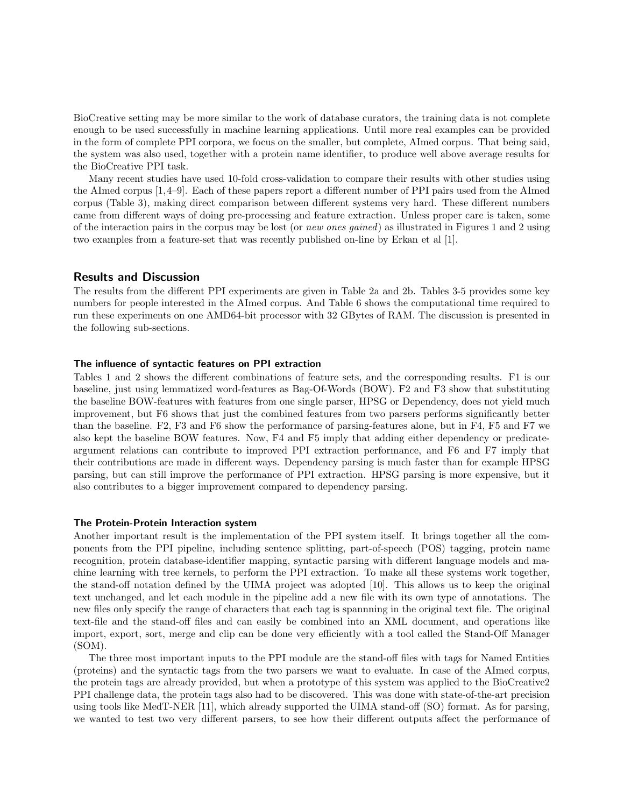BioCreative setting may be more similar to the work of database curators, the training data is not complete enough to be used successfully in machine learning applications. Until more real examples can be provided in the form of complete PPI corpora, we focus on the smaller, but complete, AImed corpus. That being said, the system was also used, together with a protein name identifier, to produce well above average results for the BioCreative PPI task.

Many recent studies have used 10-fold cross-validation to compare their results with other studies using the AImed corpus [1,4–9]. Each of these papers report a different number of PPI pairs used from the AImed corpus (Table 3), making direct comparison between different systems very hard. These different numbers came from different ways of doing pre-processing and feature extraction. Unless proper care is taken, some of the interaction pairs in the corpus may be lost (or new ones gained) as illustrated in Figures 1 and 2 using two examples from a feature-set that was recently published on-line by Erkan et al [1].

#### Results and Discussion

The results from the different PPI experiments are given in Table 2a and 2b. Tables 3-5 provides some key numbers for people interested in the AImed corpus. And Table 6 shows the computational time required to run these experiments on one AMD64-bit processor with 32 GBytes of RAM. The discussion is presented in the following sub-sections.

#### The influence of syntactic features on PPI extraction

Tables 1 and 2 shows the different combinations of feature sets, and the corresponding results. F1 is our baseline, just using lemmatized word-features as Bag-Of-Words (BOW). F2 and F3 show that substituting the baseline BOW-features with features from one single parser, HPSG or Dependency, does not yield much improvement, but F6 shows that just the combined features from two parsers performs significantly better than the baseline. F2, F3 and F6 show the performance of parsing-features alone, but in F4, F5 and F7 we also kept the baseline BOW features. Now, F4 and F5 imply that adding either dependency or predicateargument relations can contribute to improved PPI extraction performance, and F6 and F7 imply that their contributions are made in different ways. Dependency parsing is much faster than for example HPSG parsing, but can still improve the performance of PPI extraction. HPSG parsing is more expensive, but it also contributes to a bigger improvement compared to dependency parsing.

#### The Protein-Protein Interaction system

Another important result is the implementation of the PPI system itself. It brings together all the components from the PPI pipeline, including sentence splitting, part-of-speech (POS) tagging, protein name recognition, protein database-identifier mapping, syntactic parsing with different language models and machine learning with tree kernels, to perform the PPI extraction. To make all these systems work together, the stand-off notation defined by the UIMA project was adopted [10]. This allows us to keep the original text unchanged, and let each module in the pipeline add a new file with its own type of annotations. The new files only specify the range of characters that each tag is spannning in the original text file. The original text-file and the stand-off files and can easily be combined into an XML document, and operations like import, export, sort, merge and clip can be done very efficiently with a tool called the Stand-Off Manager (SOM).

The three most important inputs to the PPI module are the stand-off files with tags for Named Entities (proteins) and the syntactic tags from the two parsers we want to evaluate. In case of the AImed corpus, the protein tags are already provided, but when a prototype of this system was applied to the BioCreative2 PPI challenge data, the protein tags also had to be discovered. This was done with state-of-the-art precision using tools like MedT-NER [11], which already supported the UIMA stand-off (SO) format. As for parsing, we wanted to test two very different parsers, to see how their different outputs affect the performance of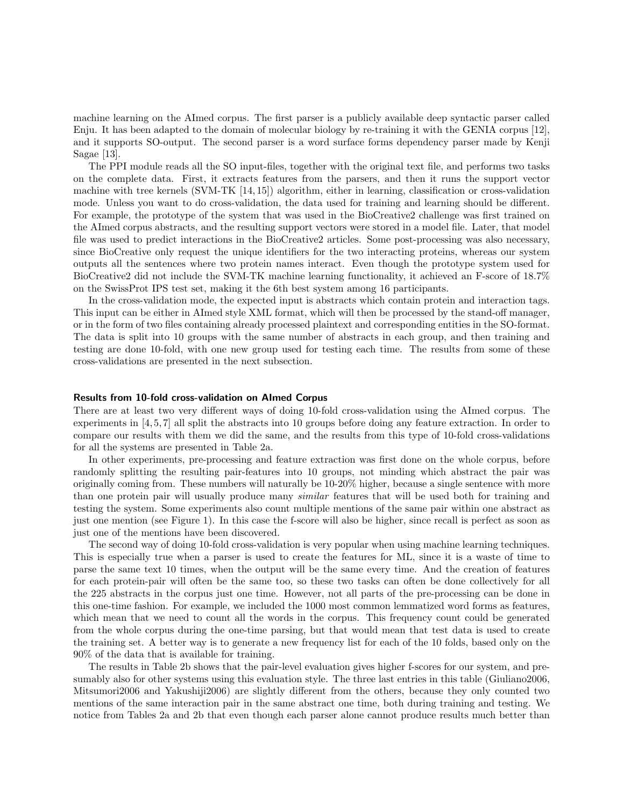machine learning on the AImed corpus. The first parser is a publicly available deep syntactic parser called Enju. It has been adapted to the domain of molecular biology by re-training it with the GENIA corpus [12], and it supports SO-output. The second parser is a word surface forms dependency parser made by Kenji Sagae [13].

The PPI module reads all the SO input-files, together with the original text file, and performs two tasks on the complete data. First, it extracts features from the parsers, and then it runs the support vector machine with tree kernels (SVM-TK [14, 15]) algorithm, either in learning, classification or cross-validation mode. Unless you want to do cross-validation, the data used for training and learning should be different. For example, the prototype of the system that was used in the BioCreative2 challenge was first trained on the AImed corpus abstracts, and the resulting support vectors were stored in a model file. Later, that model file was used to predict interactions in the BioCreative2 articles. Some post-processing was also necessary, since BioCreative only request the unique identifiers for the two interacting proteins, whereas our system outputs all the sentences where two protein names interact. Even though the prototype system used for BioCreative2 did not include the SVM-TK machine learning functionality, it achieved an F-score of 18.7% on the SwissProt IPS test set, making it the 6th best system among 16 participants.

In the cross-validation mode, the expected input is abstracts which contain protein and interaction tags. This input can be either in AImed style XML format, which will then be processed by the stand-off manager, or in the form of two files containing already processed plaintext and corresponding entities in the SO-format. The data is split into 10 groups with the same number of abstracts in each group, and then training and testing are done 10-fold, with one new group used for testing each time. The results from some of these cross-validations are presented in the next subsection.

#### Results from 10-fold cross-validation on AImed Corpus

There are at least two very different ways of doing 10-fold cross-validation using the AImed corpus. The experiments in [4, 5, 7] all split the abstracts into 10 groups before doing any feature extraction. In order to compare our results with them we did the same, and the results from this type of 10-fold cross-validations for all the systems are presented in Table 2a.

In other experiments, pre-processing and feature extraction was first done on the whole corpus, before randomly splitting the resulting pair-features into 10 groups, not minding which abstract the pair was originally coming from. These numbers will naturally be 10-20% higher, because a single sentence with more than one protein pair will usually produce many similar features that will be used both for training and testing the system. Some experiments also count multiple mentions of the same pair within one abstract as just one mention (see Figure 1). In this case the f-score will also be higher, since recall is perfect as soon as just one of the mentions have been discovered.

The second way of doing 10-fold cross-validation is very popular when using machine learning techniques. This is especially true when a parser is used to create the features for ML, since it is a waste of time to parse the same text 10 times, when the output will be the same every time. And the creation of features for each protein-pair will often be the same too, so these two tasks can often be done collectively for all the 225 abstracts in the corpus just one time. However, not all parts of the pre-processing can be done in this one-time fashion. For example, we included the 1000 most common lemmatized word forms as features, which mean that we need to count all the words in the corpus. This frequency count could be generated from the whole corpus during the one-time parsing, but that would mean that test data is used to create the training set. A better way is to generate a new frequency list for each of the 10 folds, based only on the 90% of the data that is available for training.

The results in Table 2b shows that the pair-level evaluation gives higher f-scores for our system, and presumably also for other systems using this evaluation style. The three last entries in this table (Giuliano2006, Mitsumori2006 and Yakushiji2006) are slightly different from the others, because they only counted two mentions of the same interaction pair in the same abstract one time, both during training and testing. We notice from Tables 2a and 2b that even though each parser alone cannot produce results much better than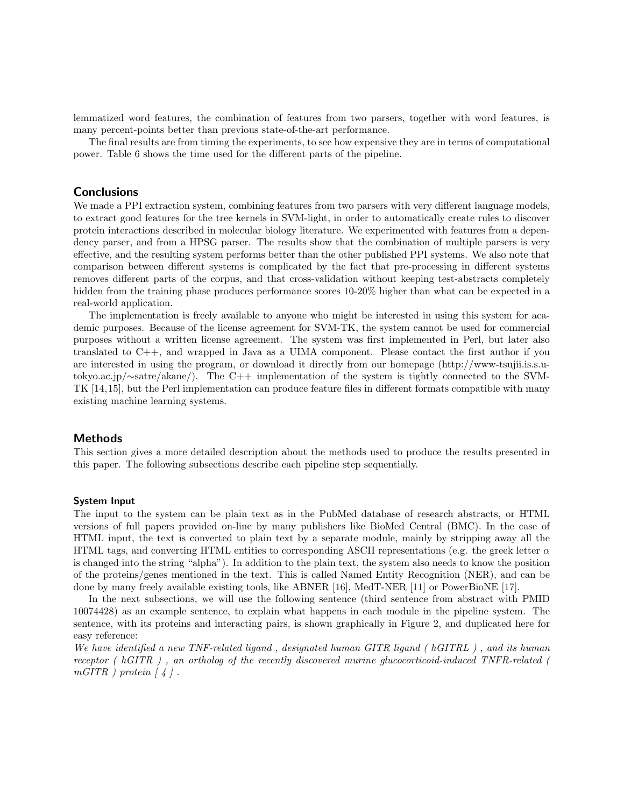lemmatized word features, the combination of features from two parsers, together with word features, is many percent-points better than previous state-of-the-art performance.

The final results are from timing the experiments, to see how expensive they are in terms of computational power. Table 6 shows the time used for the different parts of the pipeline.

## **Conclusions**

We made a PPI extraction system, combining features from two parsers with very different language models, to extract good features for the tree kernels in SVM-light, in order to automatically create rules to discover protein interactions described in molecular biology literature. We experimented with features from a dependency parser, and from a HPSG parser. The results show that the combination of multiple parsers is very effective, and the resulting system performs better than the other published PPI systems. We also note that comparison between different systems is complicated by the fact that pre-processing in different systems removes different parts of the corpus, and that cross-validation without keeping test-abstracts completely hidden from the training phase produces performance scores 10-20% higher than what can be expected in a real-world application.

The implementation is freely available to anyone who might be interested in using this system for academic purposes. Because of the license agreement for SVM-TK, the system cannot be used for commercial purposes without a written license agreement. The system was first implemented in Perl, but later also translated to C++, and wrapped in Java as a UIMA component. Please contact the first author if you are interested in using the program, or download it directly from our homepage (http://www-tsujii.is.s.utokyo.ac.jp/∼satre/akane/). The C++ implementation of the system is tightly connected to the SVM-TK [14,15], but the Perl implementation can produce feature files in different formats compatible with many existing machine learning systems.

#### Methods

This section gives a more detailed description about the methods used to produce the results presented in this paper. The following subsections describe each pipeline step sequentially.

#### System Input

The input to the system can be plain text as in the PubMed database of research abstracts, or HTML versions of full papers provided on-line by many publishers like BioMed Central (BMC). In the case of HTML input, the text is converted to plain text by a separate module, mainly by stripping away all the HTML tags, and converting HTML entities to corresponding ASCII representations (e.g. the greek letter  $\alpha$ is changed into the string "alpha"). In addition to the plain text, the system also needs to know the position of the proteins/genes mentioned in the text. This is called Named Entity Recognition (NER), and can be done by many freely available existing tools, like ABNER [16], MedT-NER [11] or PowerBioNE [17].

In the next subsections, we will use the following sentence (third sentence from abstract with PMID 10074428) as an example sentence, to explain what happens in each module in the pipeline system. The sentence, with its proteins and interacting pairs, is shown graphically in Figure 2, and duplicated here for easy reference:

We have identified a new TNF-related ligand , designated human GITR ligand ( hGITRL ) , and its human receptor ( hGITR ) , an ortholog of the recently discovered murine glucocorticoid-induced TNFR-related (  $mGITR$  ) protein  $\lceil 4 \rceil$ .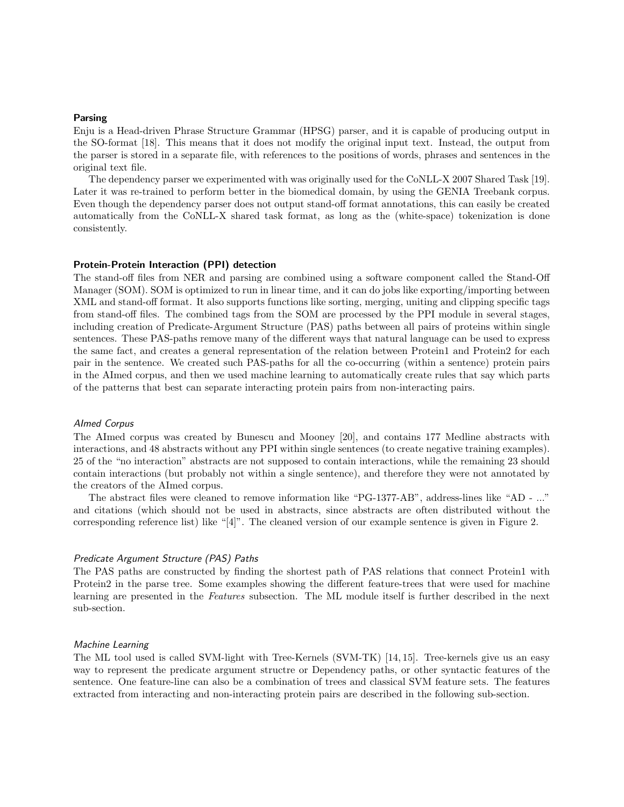#### Parsing

Enju is a Head-driven Phrase Structure Grammar (HPSG) parser, and it is capable of producing output in the SO-format [18]. This means that it does not modify the original input text. Instead, the output from the parser is stored in a separate file, with references to the positions of words, phrases and sentences in the original text file.

The dependency parser we experimented with was originally used for the CoNLL-X 2007 Shared Task [19]. Later it was re-trained to perform better in the biomedical domain, by using the GENIA Treebank corpus. Even though the dependency parser does not output stand-off format annotations, this can easily be created automatically from the CoNLL-X shared task format, as long as the (white-space) tokenization is done consistently.

#### Protein-Protein Interaction (PPI) detection

The stand-off files from NER and parsing are combined using a software component called the Stand-Off Manager (SOM). SOM is optimized to run in linear time, and it can do jobs like exporting/importing between XML and stand-off format. It also supports functions like sorting, merging, uniting and clipping specific tags from stand-off files. The combined tags from the SOM are processed by the PPI module in several stages, including creation of Predicate-Argument Structure (PAS) paths between all pairs of proteins within single sentences. These PAS-paths remove many of the different ways that natural language can be used to express the same fact, and creates a general representation of the relation between Protein1 and Protein2 for each pair in the sentence. We created such PAS-paths for all the co-occurring (within a sentence) protein pairs in the AImed corpus, and then we used machine learning to automatically create rules that say which parts of the patterns that best can separate interacting protein pairs from non-interacting pairs.

#### AImed Corpus

The AImed corpus was created by Bunescu and Mooney [20], and contains 177 Medline abstracts with interactions, and 48 abstracts without any PPI within single sentences (to create negative training examples). 25 of the "no interaction" abstracts are not supposed to contain interactions, while the remaining 23 should contain interactions (but probably not within a single sentence), and therefore they were not annotated by the creators of the AImed corpus.

The abstract files were cleaned to remove information like "PG-1377-AB", address-lines like "AD - ..." and citations (which should not be used in abstracts, since abstracts are often distributed without the corresponding reference list) like "[4]". The cleaned version of our example sentence is given in Figure 2.

#### Predicate Argument Structure (PAS) Paths

The PAS paths are constructed by finding the shortest path of PAS relations that connect Protein1 with Protein2 in the parse tree. Some examples showing the different feature-trees that were used for machine learning are presented in the Features subsection. The ML module itself is further described in the next sub-section.

#### Machine Learning

The ML tool used is called SVM-light with Tree-Kernels (SVM-TK) [14, 15]. Tree-kernels give us an easy way to represent the predicate argument structre or Dependency paths, or other syntactic features of the sentence. One feature-line can also be a combination of trees and classical SVM feature sets. The features extracted from interacting and non-interacting protein pairs are described in the following sub-section.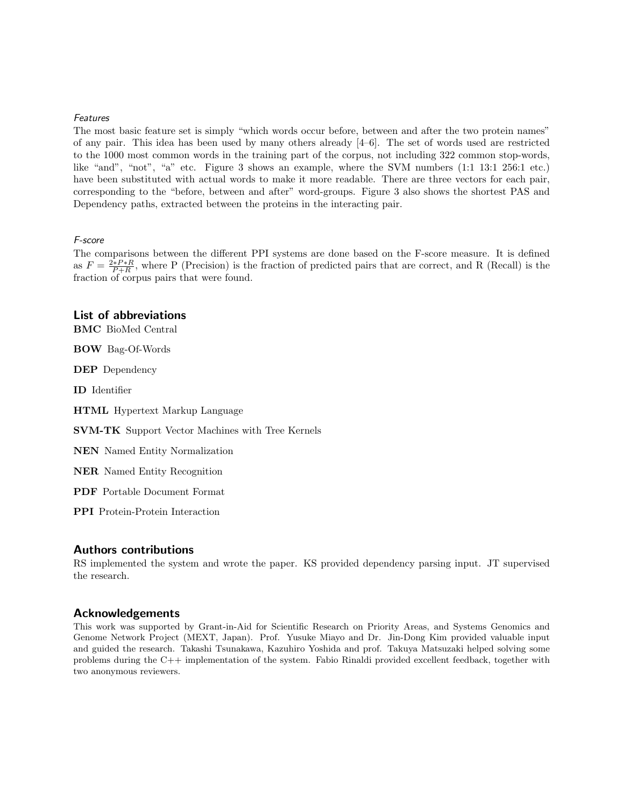#### Features

The most basic feature set is simply "which words occur before, between and after the two protein names" of any pair. This idea has been used by many others already [4–6]. The set of words used are restricted to the 1000 most common words in the training part of the corpus, not including 322 common stop-words, like "and", "not", "a" etc. Figure 3 shows an example, where the SVM numbers (1:1 13:1 256:1 etc.) have been substituted with actual words to make it more readable. There are three vectors for each pair, corresponding to the "before, between and after" word-groups. Figure 3 also shows the shortest PAS and Dependency paths, extracted between the proteins in the interacting pair.

#### F-score

The comparisons between the different PPI systems are done based on the F-score measure. It is defined as  $F = \frac{2*P+R}{P+R}$ , where P (Precision) is the fraction of predicted pairs that are correct, and R (Recall) is the fraction of corpus pairs that were found.

## List of abbreviations

BMC BioMed Central

BOW Bag-Of-Words

DEP Dependency

ID Identifier

HTML Hypertext Markup Language

SVM-TK Support Vector Machines with Tree Kernels

NEN Named Entity Normalization

NER Named Entity Recognition

PDF Portable Document Format

PPI Protein-Protein Interaction

#### Authors contributions

RS implemented the system and wrote the paper. KS provided dependency parsing input. JT supervised the research.

#### Acknowledgements

This work was supported by Grant-in-Aid for Scientific Research on Priority Areas, and Systems Genomics and Genome Network Project (MEXT, Japan). Prof. Yusuke Miayo and Dr. Jin-Dong Kim provided valuable input and guided the research. Takashi Tsunakawa, Kazuhiro Yoshida and prof. Takuya Matsuzaki helped solving some problems during the C++ implementation of the system. Fabio Rinaldi provided excellent feedback, together with two anonymous reviewers.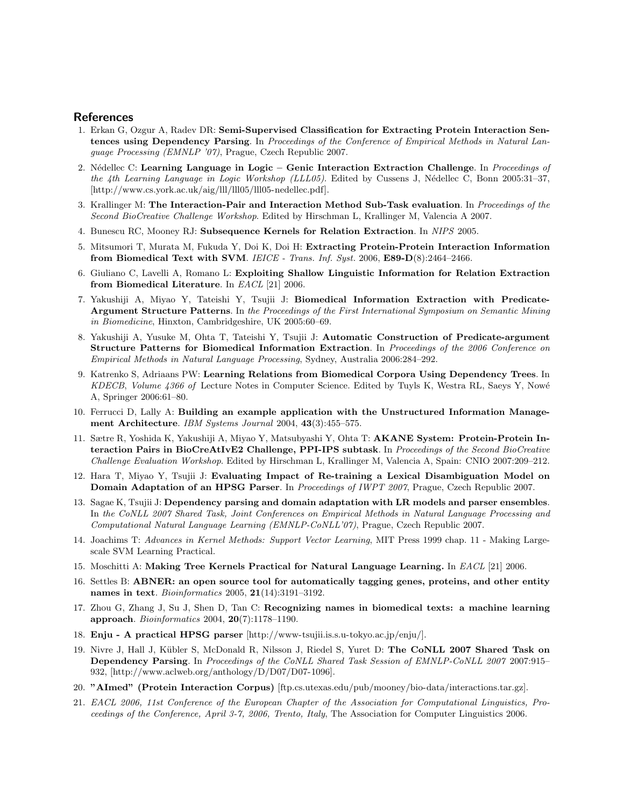#### **References**

- 1. Erkan G, Ozgur A, Radev DR: Semi-Supervised Classification for Extracting Protein Interaction Sentences using Dependency Parsing. In Proceedings of the Conference of Empirical Methods in Natural Language Processing (EMNLP '07), Prague, Czech Republic 2007.
- 2. Nédellec C: Learning Language in Logic Genic Interaction Extraction Challenge. In Proceedings of the 4th Learning Language in Logic Workshop (LLL05). Edited by Cussens J, Nédellec C, Bonn 2005:31-37, [http://www.cs.york.ac.uk/aig/lll/lll05/lll05-nedellec.pdf].
- 3. Krallinger M: The Interaction-Pair and Interaction Method Sub-Task evaluation. In Proceedings of the Second BioCreative Challenge Workshop. Edited by Hirschman L, Krallinger M, Valencia A 2007.
- 4. Bunescu RC, Mooney RJ: Subsequence Kernels for Relation Extraction. In NIPS 2005.
- 5. Mitsumori T, Murata M, Fukuda Y, Doi K, Doi H: Extracting Protein-Protein Interaction Information from Biomedical Text with SVM. IEICE - Trans. Inf. Syst. 2006, E89-D(8):2464–2466.
- 6. Giuliano C, Lavelli A, Romano L: Exploiting Shallow Linguistic Information for Relation Extraction from Biomedical Literature. In EACL [21] 2006.
- 7. Yakushiji A, Miyao Y, Tateishi Y, Tsujii J: Biomedical Information Extraction with Predicate-Argument Structure Patterns. In the Proceedings of the First International Symposium on Semantic Mining in Biomedicine, Hinxton, Cambridgeshire, UK 2005:60–69.
- 8. Yakushiji A, Yusuke M, Ohta T, Tateishi Y, Tsujii J: Automatic Construction of Predicate-argument Structure Patterns for Biomedical Information Extraction. In Proceedings of the 2006 Conference on Empirical Methods in Natural Language Processing, Sydney, Australia 2006:284–292.
- 9. Katrenko S, Adriaans PW: Learning Relations from Biomedical Corpora Using Dependency Trees. In KDECB, Volume 4366 of Lecture Notes in Computer Science. Edited by Tuyls K, Westra RL, Saeys Y, Nowé A, Springer 2006:61–80.
- 10. Ferrucci D, Lally A: Building an example application with the Unstructured Information Management Architecture. IBM Systems Journal 2004, 43(3):455–575.
- 11. Sætre R, Yoshida K, Yakushiji A, Miyao Y, Matsubyashi Y, Ohta T: AKANE System: Protein-Protein Interaction Pairs in BioCreAtIvE2 Challenge, PPI-IPS subtask. In Proceedings of the Second BioCreative Challenge Evaluation Workshop. Edited by Hirschman L, Krallinger M, Valencia A, Spain: CNIO 2007:209–212.
- 12. Hara T, Miyao Y, Tsujii J: Evaluating Impact of Re-training a Lexical Disambiguation Model on Domain Adaptation of an HPSG Parser. In Proceedings of IWPT 2007, Prague, Czech Republic 2007.
- 13. Sagae K, Tsujii J: Dependency parsing and domain adaptation with LR models and parser ensembles. In the CoNLL 2007 Shared Task, Joint Conferences on Empirical Methods in Natural Language Processing and Computational Natural Language Learning (EMNLP-CoNLL'07), Prague, Czech Republic 2007.
- 14. Joachims T: Advances in Kernel Methods: Support Vector Learning, MIT Press 1999 chap. 11 Making Largescale SVM Learning Practical.
- 15. Moschitti A: Making Tree Kernels Practical for Natural Language Learning. In EACL [21] 2006.
- 16. Settles B: ABNER: an open source tool for automatically tagging genes, proteins, and other entity names in text. *Bioinformatics* 2005, **21**(14):3191-3192.
- 17. Zhou G, Zhang J, Su J, Shen D, Tan C: Recognizing names in biomedical texts: a machine learning approach. Bioinformatics 2004, 20(7):1178–1190.
- 18. Enju A practical HPSG parser [http://www-tsujii.is.s.u-tokyo.ac.jp/enju/].
- 19. Nivre J, Hall J, Kübler S, McDonald R, Nilsson J, Riedel S, Yuret D: The CoNLL 2007 Shared Task on Dependency Parsing. In Proceedings of the CoNLL Shared Task Session of EMNLP-CoNLL 2007 2007:915-932, [http://www.aclweb.org/anthology/D/D07/D07-1096].
- 20. "AImed" (Protein Interaction Corpus) [ftp.cs.utexas.edu/pub/mooney/bio-data/interactions.tar.gz].
- 21. EACL 2006, 11st Conference of the European Chapter of the Association for Computational Linguistics, Proceedings of the Conference, April 3-7, 2006, Trento, Italy, The Association for Computer Linguistics 2006.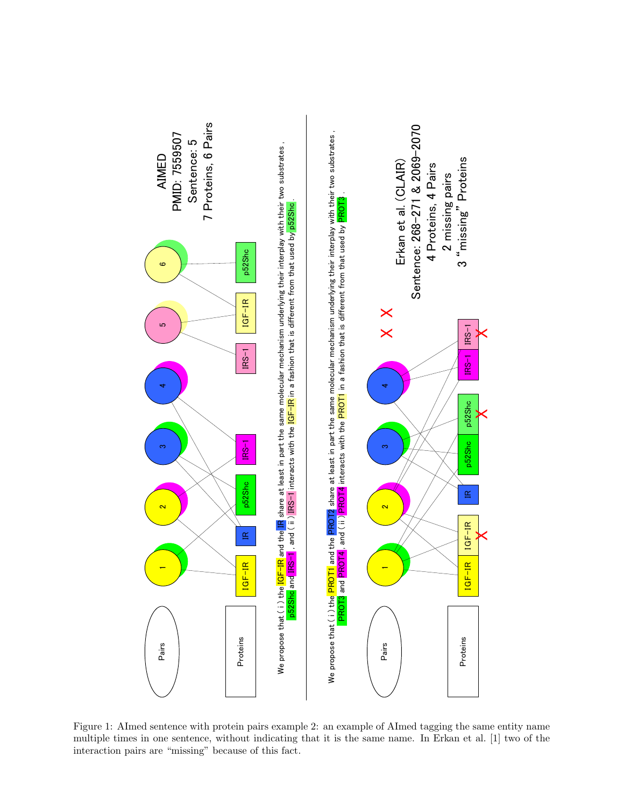

Figure 1: AImed sentence with protein pairs example 2: an example of AImed tagging the same entity name multiple times in one sentence, without indicating that it is the same name. In Erkan et al. [1] two of the interaction pairs are "missing" because of this fact.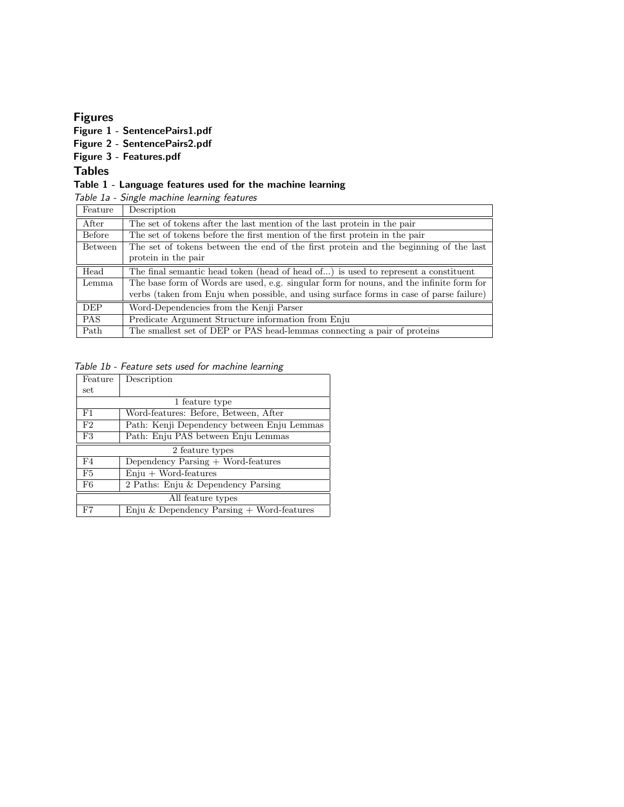## Figures

Figure 1 - SentencePairs1.pdf

Figure 2 - SentencePairs2.pdf

## Figure 3 - Features.pdf

Tables

## Table 1 - Language features used for the machine learning

Table 1a - Single machine learning features

| Feature        | Description                                                                              |
|----------------|------------------------------------------------------------------------------------------|
| After          | The set of tokens after the last mention of the last protein in the pair                 |
| Before         | The set of tokens before the first mention of the first protein in the pair              |
| <b>Between</b> | The set of tokens between the end of the first protein and the beginning of the last     |
|                | protein in the pair                                                                      |
| Head           | The final semantic head token (head of head of) is used to represent a constituent       |
| Lemma          | The base form of Words are used, e.g. singular form for nouns, and the infinite form for |
|                | verbs (taken from Enju when possible, and using surface forms in case of parse failure)  |
| <b>DEP</b>     | Word-Dependencies from the Kenji Parser                                                  |
| <b>PAS</b>     | Predicate Argument Structure information from Enju                                       |
| Path           | The smallest set of DEP or PAS head-lemmas connecting a pair of proteins                 |

| Table 1b - Feature sets used for machine learning |  |  |  |
|---------------------------------------------------|--|--|--|
|---------------------------------------------------|--|--|--|

| Feature           | Description                                 |  |
|-------------------|---------------------------------------------|--|
| set               |                                             |  |
|                   | 1 feature type                              |  |
| F1                | Word-features: Before, Between, After       |  |
| F2                | Path: Kenji Dependency between Enju Lemmas  |  |
| F3                | Path: Enju PAS between Enju Lemmas          |  |
|                   | 2 feature types                             |  |
| F4                | Dependency Parsing + Word-features          |  |
| F5                | $Enju + Word-features$                      |  |
| F6                | 2 Paths: Enju & Dependency Parsing          |  |
| All feature types |                                             |  |
| $_{\rm F7}$       | Enju & Dependency Parsing $+$ Word-features |  |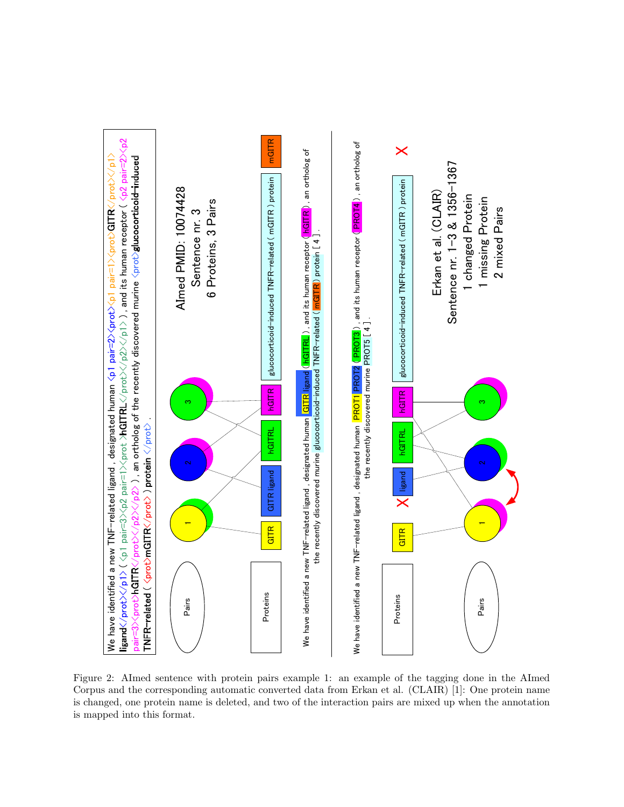

Figure 2: AImed sentence with protein pairs example 1: an example of the tagging done in the AImed Corpus and the corresponding automatic converted data from Erkan et al. (CLAIR) [1]: One protein name is changed, one protein name is deleted, and two of the interaction pairs are mixed up when the annotation is mapped into this format.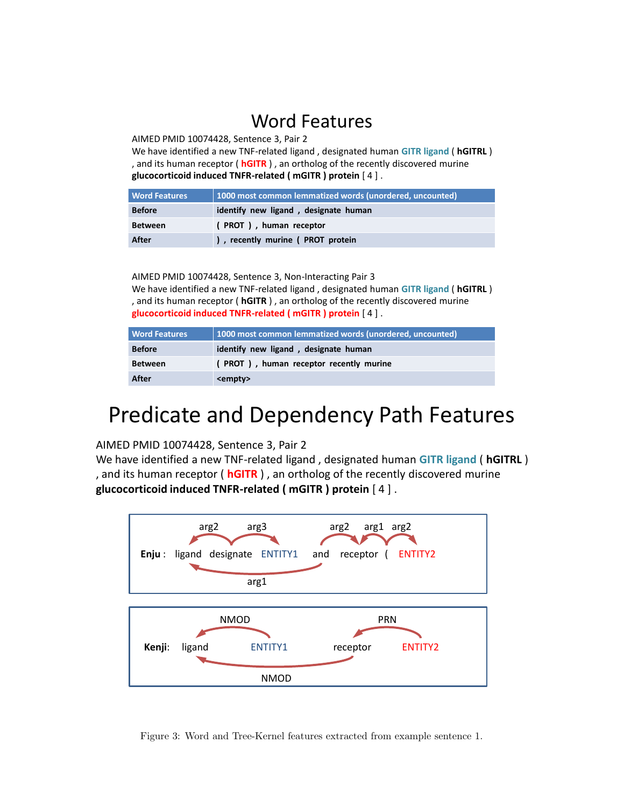# Word Features

AIMED PMID 10074428, Sentence 3, Pair 2

We have identified a new TNF-related ligand , designated human **GITR ligand** ( **hGITRL** ) , and its human receptor ( **hGITR** ) , an ortholog of the recently discovered murine **glucocorticoid induced TNFR-related ( mGITR ) protein** [ 4 ] .

| <b>Word Features</b> | 1000 most common lemmatized words (unordered, uncounted) |  |
|----------------------|----------------------------------------------------------|--|
| <b>Before</b>        | identify new ligand, designate human                     |  |
| <b>Between</b>       | PROT), human receptor                                    |  |
| After                | ), recently murine (PROT protein                         |  |

AIMED PMID 10074428, Sentence 3, Non-Interacting Pair 3 We have identified a new TNF-related ligand , designated human **GITR ligand** ( **hGITRL** ) , and its human receptor ( **hGITR** ) , an ortholog of the recently discovered murine **glucocorticoid induced TNFR-related ( mGITR ) protein** [ 4 ] .

| <b>Word Features</b> | 1000 most common lemmatized words (unordered, uncounted) |  |
|----------------------|----------------------------------------------------------|--|
| <b>Before</b>        | identify new ligand, designate human                     |  |
| <b>Between</b>       | (PROT), human receptor recently murine                   |  |
| After                | <empty></empty>                                          |  |

# Predicate and Dependency Path Features

AIMED PMID 10074428, Sentence 3, Pair 2

We have identified a new TNF-related ligand , designated human **GITR ligand** ( **hGITRL** ) , and its human receptor ( **hGITR** ) , an ortholog of the recently discovered murine **glucocorticoid induced TNFR-related ( mGITR ) protein** [ 4 ] .



Figure 3: Word and Tree-Kernel features extracted from example sentence 1.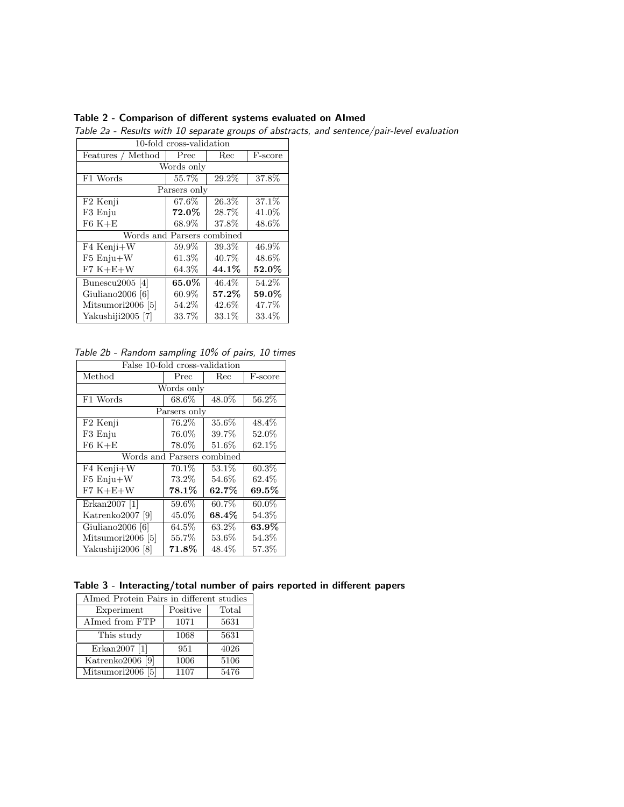| 10-fold cross-validation   |              |          |          |  |  |
|----------------------------|--------------|----------|----------|--|--|
| Features / Method          | Prec         | Rec      | F-score  |  |  |
|                            | Words only   |          |          |  |  |
| F1 Words                   | 55.7%        | 29.2%    | 37.8%    |  |  |
|                            | Parsers only |          |          |  |  |
| F <sub>2</sub> Kenji       | 67.6%        | 26.3%    | 37.1%    |  |  |
| F3 Enju                    | 72.0%        | 28.7%    | 41.0%    |  |  |
| $F6K+E$                    | 68.9%        | 37.8%    | 48.6%    |  |  |
| Words and Parsers combined |              |          |          |  |  |
| F4 Kenji+W                 | 59.9%        | 39.3%    | 46.9%    |  |  |
| $F5$ Enju $+W$             | $61.3\%$     | 40.7%    | 48.6%    |  |  |
| $F7 K+E+W$                 | $64.3\%$     | 44.1%    | $52.0\%$ |  |  |
| Bunescu2005 [4]            | 65.0%        | 46.4%    | 54.2%    |  |  |
| Giuliano2006 [6]           | $60.9\%$     | $57.2\%$ | $59.0\%$ |  |  |
| Mitsumori2006 [5]          | 54.2%        | 42.6%    | 47.7%    |  |  |
| Yakushiji2005 [7]          | 33.7%        | 33.1%    | 33.4%    |  |  |

Table 2 - Comparison of different systems evaluated on AImed

Table 2a - Results with 10 separate groups of abstracts, and sentence/pair-level evaluation

Table 2b - Random sampling 10% of pairs, 10 times

| False 10-fold cross-validation |              |          |          |  |
|--------------------------------|--------------|----------|----------|--|
| Method                         | Prec         | Rec      | F-score  |  |
|                                | Words only   |          |          |  |
| F1 Words                       | 68.6%        | 48.0%    | 56.2%    |  |
|                                | Parsers only |          |          |  |
| F <sub>2</sub> Kenji           | 76.2%        | 35.6%    | 48.4%    |  |
| F3 Enju                        | 76.0%        | 39.7%    | $52.0\%$ |  |
| $F6K+E$                        | 78.0%        | 51.6%    | 62.1%    |  |
| Words and Parsers combined     |              |          |          |  |
| F4 Kenji+W                     | $70.1\%$     | $53.1\%$ | $60.3\%$ |  |
| $F5$ Enju $+W$                 | 73.2%        | 54.6%    | 62.4%    |  |
| $F7 K+E+W$                     | $78.1\%$     | $62.7\%$ | $69.5\%$ |  |
| Erkan2007 [1]                  | 59.6%        | 60.7%    | $60.0\%$ |  |
| Katrenko2007 [9]               | 45.0%        | $68.4\%$ | $54.3\%$ |  |
| Giuliano2006 [6]               | $64.5\%$     | $63.2\%$ | $63.9\%$ |  |
| Mitsumori2006 [5]              | 55.7%        | $53.6\%$ | 54.3%    |  |
| Yakushiji2006 [8]              | $71.8\%$     | 48.4%    | 57.3%    |  |

Table 3 - Interacting/total number of pairs reported in different papers

| AImed Protein Pairs in different studies |          |       |  |
|------------------------------------------|----------|-------|--|
| Experiment                               | Positive | Total |  |
| Almed from FTP                           | 1071     | 5631  |  |
| This study                               | 1068     | 5631  |  |
| Erkan2007 [1]                            | 951      | 4026  |  |
| Katrenko2006 [9]                         | 1006     | 5106  |  |
| Mitsumori2006 [5]                        | 1107     | 5476  |  |